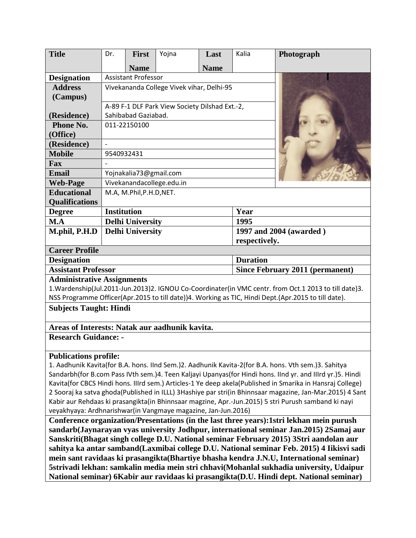| <b>Title</b>                                                                                                                                                                                                                                                                                                                                                                                                                                                                                                                                                                                                                                                                                                                                                                                                                                                                                                                                   | Dr.                                            | First       | Yojna | Last        | Kalia                                  | Photograph              |
|------------------------------------------------------------------------------------------------------------------------------------------------------------------------------------------------------------------------------------------------------------------------------------------------------------------------------------------------------------------------------------------------------------------------------------------------------------------------------------------------------------------------------------------------------------------------------------------------------------------------------------------------------------------------------------------------------------------------------------------------------------------------------------------------------------------------------------------------------------------------------------------------------------------------------------------------|------------------------------------------------|-------------|-------|-------------|----------------------------------------|-------------------------|
|                                                                                                                                                                                                                                                                                                                                                                                                                                                                                                                                                                                                                                                                                                                                                                                                                                                                                                                                                |                                                | <b>Name</b> |       | <b>Name</b> |                                        |                         |
| <b>Designation</b>                                                                                                                                                                                                                                                                                                                                                                                                                                                                                                                                                                                                                                                                                                                                                                                                                                                                                                                             | <b>Assistant Professor</b>                     |             |       |             |                                        |                         |
| <b>Address</b>                                                                                                                                                                                                                                                                                                                                                                                                                                                                                                                                                                                                                                                                                                                                                                                                                                                                                                                                 | Vivekananda College Vivek vihar, Delhi-95      |             |       |             |                                        |                         |
| (Campus)                                                                                                                                                                                                                                                                                                                                                                                                                                                                                                                                                                                                                                                                                                                                                                                                                                                                                                                                       |                                                |             |       |             |                                        |                         |
|                                                                                                                                                                                                                                                                                                                                                                                                                                                                                                                                                                                                                                                                                                                                                                                                                                                                                                                                                | A-89 F-1 DLF Park View Society Dilshad Ext.-2, |             |       |             |                                        |                         |
| (Residence)                                                                                                                                                                                                                                                                                                                                                                                                                                                                                                                                                                                                                                                                                                                                                                                                                                                                                                                                    | Sahibabad Gaziabad.                            |             |       |             |                                        |                         |
| Phone No.                                                                                                                                                                                                                                                                                                                                                                                                                                                                                                                                                                                                                                                                                                                                                                                                                                                                                                                                      | 011-22150100                                   |             |       |             |                                        |                         |
| (Office)                                                                                                                                                                                                                                                                                                                                                                                                                                                                                                                                                                                                                                                                                                                                                                                                                                                                                                                                       |                                                |             |       |             |                                        |                         |
| (Residence)                                                                                                                                                                                                                                                                                                                                                                                                                                                                                                                                                                                                                                                                                                                                                                                                                                                                                                                                    |                                                |             |       |             |                                        |                         |
| <b>Mobile</b>                                                                                                                                                                                                                                                                                                                                                                                                                                                                                                                                                                                                                                                                                                                                                                                                                                                                                                                                  | 9540932431                                     |             |       |             |                                        |                         |
| Fax                                                                                                                                                                                                                                                                                                                                                                                                                                                                                                                                                                                                                                                                                                                                                                                                                                                                                                                                            |                                                |             |       |             |                                        |                         |
| <b>Email</b>                                                                                                                                                                                                                                                                                                                                                                                                                                                                                                                                                                                                                                                                                                                                                                                                                                                                                                                                   | Yojnakalia73@gmail.com                         |             |       |             |                                        |                         |
| <b>Web-Page</b>                                                                                                                                                                                                                                                                                                                                                                                                                                                                                                                                                                                                                                                                                                                                                                                                                                                                                                                                | Vivekanandacollege.edu.in                      |             |       |             |                                        |                         |
| <b>Educational</b>                                                                                                                                                                                                                                                                                                                                                                                                                                                                                                                                                                                                                                                                                                                                                                                                                                                                                                                             | M.A, M.Phil, P.H.D, NET.                       |             |       |             |                                        |                         |
| <b>Qualifications</b>                                                                                                                                                                                                                                                                                                                                                                                                                                                                                                                                                                                                                                                                                                                                                                                                                                                                                                                          |                                                |             |       |             |                                        |                         |
| <b>Degree</b>                                                                                                                                                                                                                                                                                                                                                                                                                                                                                                                                                                                                                                                                                                                                                                                                                                                                                                                                  | <b>Institution</b>                             |             |       |             | Year                                   |                         |
| M.A                                                                                                                                                                                                                                                                                                                                                                                                                                                                                                                                                                                                                                                                                                                                                                                                                                                                                                                                            | <b>Delhi University</b>                        |             |       |             | 1995                                   |                         |
| M.phil, P.H.D                                                                                                                                                                                                                                                                                                                                                                                                                                                                                                                                                                                                                                                                                                                                                                                                                                                                                                                                  | <b>Delhi University</b>                        |             |       |             |                                        | 1997 and 2004 (awarded) |
|                                                                                                                                                                                                                                                                                                                                                                                                                                                                                                                                                                                                                                                                                                                                                                                                                                                                                                                                                | respectively.                                  |             |       |             |                                        |                         |
| <b>Career Profile</b>                                                                                                                                                                                                                                                                                                                                                                                                                                                                                                                                                                                                                                                                                                                                                                                                                                                                                                                          |                                                |             |       |             |                                        |                         |
| <b>Duration</b><br><b>Designation</b>                                                                                                                                                                                                                                                                                                                                                                                                                                                                                                                                                                                                                                                                                                                                                                                                                                                                                                          |                                                |             |       |             |                                        |                         |
| <b>Assistant Professor</b>                                                                                                                                                                                                                                                                                                                                                                                                                                                                                                                                                                                                                                                                                                                                                                                                                                                                                                                     |                                                |             |       |             | <b>Since February 2011 (permanent)</b> |                         |
| <b>Administrative Assignments</b>                                                                                                                                                                                                                                                                                                                                                                                                                                                                                                                                                                                                                                                                                                                                                                                                                                                                                                              |                                                |             |       |             |                                        |                         |
| 1. Wardenship(Jul.2011-Jun.2013)2. IGNOU Co-Coordinater(in VMC centr. from Oct.1 2013 to till date)3.                                                                                                                                                                                                                                                                                                                                                                                                                                                                                                                                                                                                                                                                                                                                                                                                                                          |                                                |             |       |             |                                        |                         |
| NSS Programme Officer(Apr.2015 to till date))4. Working as TIC, Hindi Dept.(Apr.2015 to till date).                                                                                                                                                                                                                                                                                                                                                                                                                                                                                                                                                                                                                                                                                                                                                                                                                                            |                                                |             |       |             |                                        |                         |
| <b>Subjects Taught: Hindi</b>                                                                                                                                                                                                                                                                                                                                                                                                                                                                                                                                                                                                                                                                                                                                                                                                                                                                                                                  |                                                |             |       |             |                                        |                         |
| Areas of Interests: Natak aur aadhunik kavita.                                                                                                                                                                                                                                                                                                                                                                                                                                                                                                                                                                                                                                                                                                                                                                                                                                                                                                 |                                                |             |       |             |                                        |                         |
| <b>Research Guidance: -</b>                                                                                                                                                                                                                                                                                                                                                                                                                                                                                                                                                                                                                                                                                                                                                                                                                                                                                                                    |                                                |             |       |             |                                        |                         |
| <b>Publications profile:</b>                                                                                                                                                                                                                                                                                                                                                                                                                                                                                                                                                                                                                                                                                                                                                                                                                                                                                                                   |                                                |             |       |             |                                        |                         |
| 1. Aadhunik Kavita(for B.A. hons. IInd Sem.)2. Aadhunik Kavita-2(for B.A. hons. Vth sem.)3. Sahitya                                                                                                                                                                                                                                                                                                                                                                                                                                                                                                                                                                                                                                                                                                                                                                                                                                            |                                                |             |       |             |                                        |                         |
| Sandarbh(for B.com Pass IVth sem.)4. Teen Kaljayi Upanyas(for Hindi hons. IInd yr. and IIIrd yr.)5. Hindi                                                                                                                                                                                                                                                                                                                                                                                                                                                                                                                                                                                                                                                                                                                                                                                                                                      |                                                |             |       |             |                                        |                         |
| Kavita(for CBCS Hindi hons. Illrd sem.) Articles-1 Ye deep akela(Published in Smarika in Hansraj College)                                                                                                                                                                                                                                                                                                                                                                                                                                                                                                                                                                                                                                                                                                                                                                                                                                      |                                                |             |       |             |                                        |                         |
|                                                                                                                                                                                                                                                                                                                                                                                                                                                                                                                                                                                                                                                                                                                                                                                                                                                                                                                                                |                                                |             |       |             |                                        |                         |
|                                                                                                                                                                                                                                                                                                                                                                                                                                                                                                                                                                                                                                                                                                                                                                                                                                                                                                                                                |                                                |             |       |             |                                        |                         |
|                                                                                                                                                                                                                                                                                                                                                                                                                                                                                                                                                                                                                                                                                                                                                                                                                                                                                                                                                |                                                |             |       |             |                                        |                         |
|                                                                                                                                                                                                                                                                                                                                                                                                                                                                                                                                                                                                                                                                                                                                                                                                                                                                                                                                                |                                                |             |       |             |                                        |                         |
|                                                                                                                                                                                                                                                                                                                                                                                                                                                                                                                                                                                                                                                                                                                                                                                                                                                                                                                                                |                                                |             |       |             |                                        |                         |
|                                                                                                                                                                                                                                                                                                                                                                                                                                                                                                                                                                                                                                                                                                                                                                                                                                                                                                                                                |                                                |             |       |             |                                        |                         |
|                                                                                                                                                                                                                                                                                                                                                                                                                                                                                                                                                                                                                                                                                                                                                                                                                                                                                                                                                |                                                |             |       |             |                                        |                         |
|                                                                                                                                                                                                                                                                                                                                                                                                                                                                                                                                                                                                                                                                                                                                                                                                                                                                                                                                                |                                                |             |       |             |                                        |                         |
|                                                                                                                                                                                                                                                                                                                                                                                                                                                                                                                                                                                                                                                                                                                                                                                                                                                                                                                                                |                                                |             |       |             |                                        |                         |
| 2 Sooraj ka satva ghoda(Published in ILLL) 3Hashiye par stri(in Bhinnsaar magazine, Jan-Mar.2015) 4 Sant<br>Kabir aur Rehdaas ki prasangikta(in Bhinnsaar magzine, Apr.-Jun.2015) 5 stri Purush samband ki nayi<br>veyakhyaya: Ardhnarishwar(in Vangmaye magazine, Jan-Jun.2016)<br>Conference organization/Presentations (in the last three years):1stri lekhan mein purush<br>sandarb(Jaynarayan vyas university Jodhpur, international seminar Jan.2015) 2Samaj aur<br>Sanskriti(Bhagat singh college D.U. National seminar February 2015) 3Stri aandolan aur<br>sahitya ka antar samband(Laxmibai college D.U. National seminar Feb. 2015) 4 Iikisvi sadi<br>mein sant ravidaas ki prasangikta (Bhartiye bhasha kendra J.N.U, International seminar)<br>5strivadi lekhan: samkalin media mein stri chhavi(Mohanlal sukhadia university, Udaipur<br>National seminar) 6Kabir aur ravidaas ki prasangikta(D.U. Hindi dept. National seminar) |                                                |             |       |             |                                        |                         |